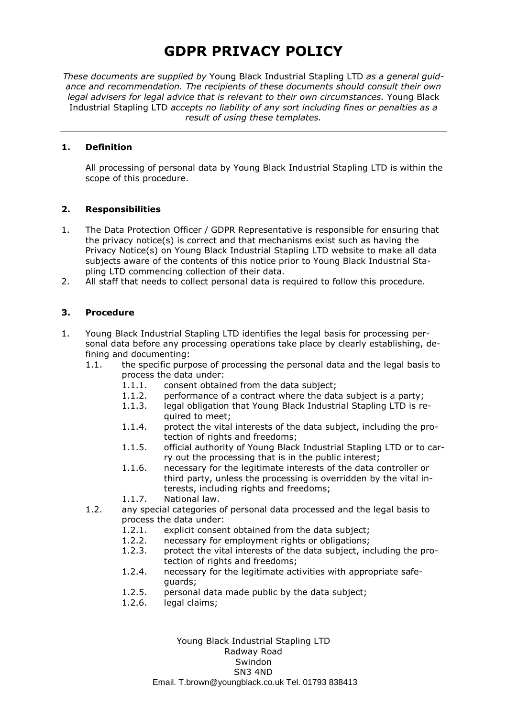*These documents are supplied by* Young Black Industrial Stapling LTD *as a general guidance and recommendation. The recipients of these documents should consult their own legal advisers for legal advice that is relevant to their own circumstances.* Young Black Industrial Stapling LTD *accepts no liability of any sort including fines or penalties as a result of using these templates.*

#### **1. Definition**

All processing of personal data by Young Black Industrial Stapling LTD is within the scope of this procedure.

#### **2. Responsibilities**

- 1. The Data Protection Officer / GDPR Representative is responsible for ensuring that the privacy notice(s) is correct and that mechanisms exist such as having the Privacy Notice(s) on Young Black Industrial Stapling LTD website to make all data subjects aware of the contents of this notice prior to Young Black Industrial Stapling LTD commencing collection of their data.
- 2. All staff that needs to collect personal data is required to follow this procedure.

### **3. Procedure**

- 1. Young Black Industrial Stapling LTD identifies the legal basis for processing personal data before any processing operations take place by clearly establishing, defining and documenting:
	- 1.1. the specific purpose of processing the personal data and the legal basis to process the data under:
		- 1.1.1. consent obtained from the data subject;<br>1.1.2. performance of a contract where the dat
		- performance of a contract where the data subject is a party;
		- 1.1.3. legal obligation that Young Black Industrial Stapling LTD is required to meet;
		- 1.1.4. protect the vital interests of the data subject, including the protection of rights and freedoms;
		- 1.1.5. official authority of Young Black Industrial Stapling LTD or to carry out the processing that is in the public interest;
		- 1.1.6. necessary for the legitimate interests of the data controller or third party, unless the processing is overridden by the vital interests, including rights and freedoms;
		- 1.1.7. National law.
	- 1.2. any special categories of personal data processed and the legal basis to process the data under:
		- 1.2.1. explicit consent obtained from the data subject;
		- 1.2.2. necessary for employment rights or obligations;
		- 1.2.3. protect the vital interests of the data subject, including the protection of rights and freedoms;
		- 1.2.4. necessary for the legitimate activities with appropriate safeguards;
		- 1.2.5. personal data made public by the data subject;
		- 1.2.6. legal claims;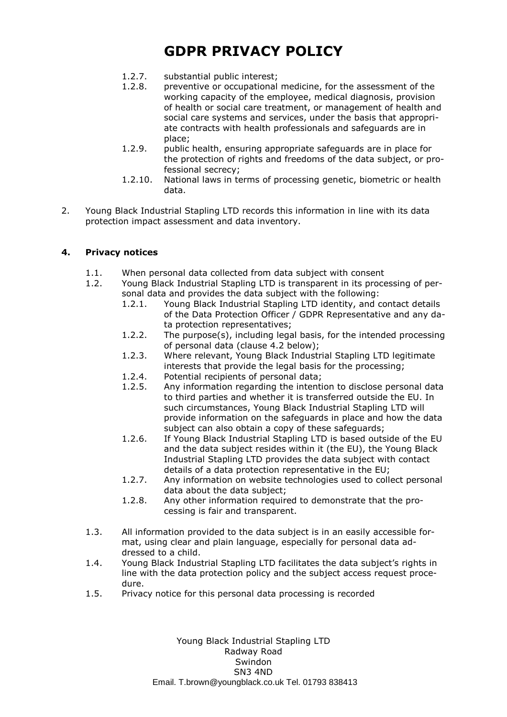- 1.2.7. substantial public interest;
- 1.2.8. preventive or occupational medicine, for the assessment of the working capacity of the employee, medical diagnosis, provision of health or social care treatment, or management of health and social care systems and services, under the basis that appropriate contracts with health professionals and safeguards are in place;
- 1.2.9. public health, ensuring appropriate safeguards are in place for the protection of rights and freedoms of the data subject, or professional secrecy;
- 1.2.10. National laws in terms of processing genetic, biometric or health data.
- 2. Young Black Industrial Stapling LTD records this information in line with its data protection impact assessment and data inventory.

### **4. Privacy notices**

- 1.1. When personal data collected from data subject with consent
- 1.2. Young Black Industrial Stapling LTD is transparent in its processing of personal data and provides the data subject with the following:
	- 1.2.1. Young Black Industrial Stapling LTD identity, and contact details of the Data Protection Officer / GDPR Representative and any data protection representatives;
	- 1.2.2. The purpose(s), including legal basis, for the intended processing of personal data (clause 4.2 below);
	- 1.2.3. Where relevant, Young Black Industrial Stapling LTD legitimate interests that provide the legal basis for the processing;
	- 1.2.4. Potential recipients of personal data;
	- 1.2.5. Any information regarding the intention to disclose personal data to third parties and whether it is transferred outside the EU. In such circumstances, Young Black Industrial Stapling LTD will provide information on the safeguards in place and how the data subject can also obtain a copy of these safeguards;
	- 1.2.6. If Young Black Industrial Stapling LTD is based outside of the EU and the data subject resides within it (the EU), the Young Black Industrial Stapling LTD provides the data subject with contact details of a data protection representative in the EU;
	- 1.2.7. Any information on website technologies used to collect personal data about the data subject;
	- 1.2.8. Any other information required to demonstrate that the processing is fair and transparent.
- 1.3. All information provided to the data subject is in an easily accessible format, using clear and plain language, especially for personal data addressed to a child.
- 1.4. Young Black Industrial Stapling LTD facilitates the data subject's rights in line with the data protection policy and the subject access request procedure.
- 1.5. Privacy notice for this personal data processing is recorded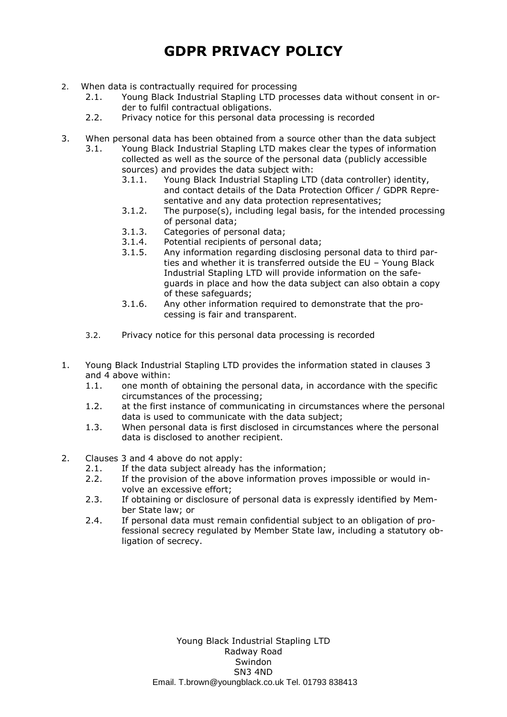- 2. When data is contractually required for processing
	- 2.1. Young Black Industrial Stapling LTD processes data without consent in order to fulfil contractual obligations.
	- 2.2. Privacy notice for this personal data processing is recorded
- 3. When personal data has been obtained from a source other than the data subject
	- 3.1. Young Black Industrial Stapling LTD makes clear the types of information collected as well as the source of the personal data (publicly accessible sources) and provides the data subject with:
		- 3.1.1. Young Black Industrial Stapling LTD (data controller) identity, and contact details of the Data Protection Officer / GDPR Representative and any data protection representatives;
		- 3.1.2. The purpose(s), including legal basis, for the intended processing of personal data;
		- 3.1.3. Categories of personal data;
		- 3.1.4. Potential recipients of personal data;
		- 3.1.5. Any information regarding disclosing personal data to third parties and whether it is transferred outside the EU – Young Black Industrial Stapling LTD will provide information on the safeguards in place and how the data subject can also obtain a copy of these safeguards;
		- 3.1.6. Any other information required to demonstrate that the processing is fair and transparent.
	- 3.2. Privacy notice for this personal data processing is recorded
- 1. Young Black Industrial Stapling LTD provides the information stated in clauses 3 and 4 above within:
	- 1.1. one month of obtaining the personal data, in accordance with the specific circumstances of the processing;
	- 1.2. at the first instance of communicating in circumstances where the personal data is used to communicate with the data subject;
	- 1.3. When personal data is first disclosed in circumstances where the personal data is disclosed to another recipient.
- 2. Clauses 3 and 4 above do not apply:
	- 2.1. If the data subject already has the information;
	- 2.2. If the provision of the above information proves impossible or would involve an excessive effort;
	- 2.3. If obtaining or disclosure of personal data is expressly identified by Member State law; or
	- 2.4. If personal data must remain confidential subject to an obligation of professional secrecy regulated by Member State law, including a statutory obligation of secrecy.